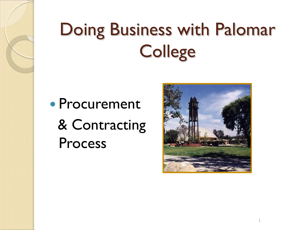# Doing Business with Palomar **College**

 Procurement & Contracting Process

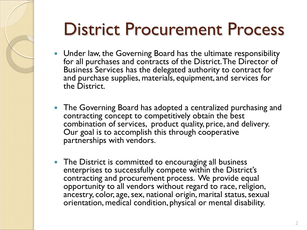## District Procurement Process

- Under law, the Governing Board has the ultimate responsibility for all purchases and contracts of the District. The Director of Business Services has the delegated authority to contract for and purchase supplies, materials, equipment, and services for the District.
- The Governing Board has adopted a centralized purchasing and contracting concept to competitively obtain the best combination of services, product quality, price, and delivery. Our goal is to accomplish this through cooperative partnerships with vendors.
- The District is committed to encouraging all business enterprises to successfully compete within the District's contracting and procurement process. We provide equal opportunity to all vendors without regard to race, religion, ancestry, color, age, sex, national origin, marital status, sexual orientation, medical condition, physical or mental disability.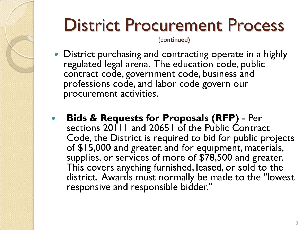## District Procurement Process

(continued)

- District purchasing and contracting operate in a highly regulated legal arena. The education code, public contract code, government code, business and professions code, and labor code govern our procurement activities.
- **Bids & Requests for Proposals (RFP)**  Per sections 20111 and 20651 of the Public Contract Code, the District is required to bid for public projects of \$15,000 and greater, and for equipment, materials, supplies, or services of more of \$78,500 and greater. This covers anything furnished, leased, or sold to the district. Awards must normally be made to the "lowest responsive and responsible bidder."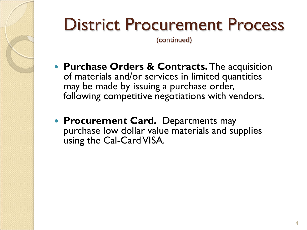## District Procurement Process

(continued)

- **Purchase Orders & Contracts.**The acquisition of materials and/or services in limited quantities may be made by issuing a purchase order, following competitive negotiations with vendors.
- **Procurement Card.** Departments may purchase low dollar value materials and supplies using the Cal-Card VISA.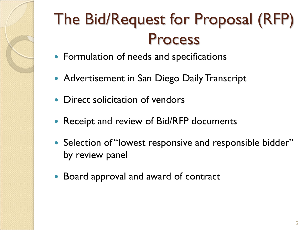

- Formulation of needs and specifications
- Advertisement in San Diego Daily Transcript
- Direct solicitation of vendors
- Receipt and review of Bid/RFP documents
- Selection of "lowest responsive and responsible bidder" by review panel
- Board approval and award of contract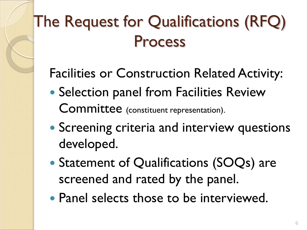### The Request for Qualifications (RFQ) Process

#### Facilities or Construction Related Activity:

- Selection panel from Facilities Review Committee (constituent representation).
- **Screening criteria and interview questions** developed.
- Statement of Qualifications (SOQs) are screened and rated by the panel.
- Panel selects those to be interviewed.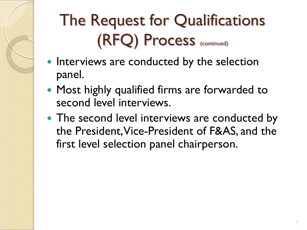## The Request for Qualifications (RFQ) Process (continued)

- Interviews are conducted by the selection panel.
- Most highly qualified firms are forwarded to second level interviews.
- The second level interviews are conducted by the President, Vice-President of F&AS, and the first level selection panel chairperson.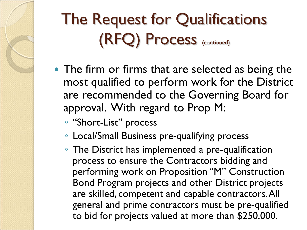### The Request for Qualifications (RFQ) Process (continued)

- The firm or firms that are selected as being the most qualified to perform work for the District are recommended to the Governing Board for approval. With regard to Prop M:
	- "Short-List" process
	- Local/Small Business pre-qualifying process
	- The District has implemented a pre-qualification process to ensure the Contractors bidding and performing work on Proposition "M" Construction Bond Program projects and other District projects are skilled, competent and capable contractors. All general and prime contractors must be pre-qualified to bid for projects valued at more than \$250,000.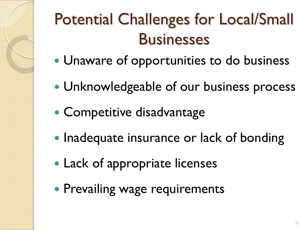### Potential Challenges for Local/Small **Businesses**

- Unaware of opportunities to do business
- Unknowledgeable of our business process
- Competitive disadvantage
- Inadequate insurance or lack of bonding
- Lack of appropriate licenses
- **Prevailing wage requirements**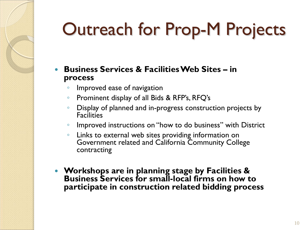# Outreach for Prop-M Projects

- **Business Services & Facilities Web Sites – in process**
	- Improved ease of navigation
	- Prominent display of all Bids & RFP's, RFQ's
	- Display of planned and in-progress construction projects by **Facilities**
	- Improved instructions on "how to do business" with District
	- Links to external web sites providing information on Government related and California Community College contracting
- **Workshops are in planning stage by Facilities & Business Services for small-local firms on how to participate in construction related bidding process**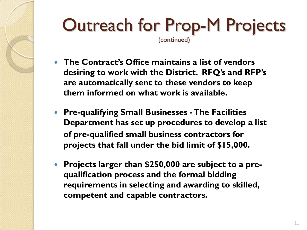#### Outreach for Prop-M Projects (continued)

- **The Contract's Office maintains a list of vendors desiring to work with the District. RFQ's and RFP's are automatically sent to these vendors to keep them informed on what work is available.**
- **Pre-qualifying Small Businesses -The Facilities Department has set up procedures to develop a list of pre-qualified small business contractors for projects that fall under the bid limit of \$15,000.**
- **Projects larger than \$250,000 are subject to a prequalification process and the formal bidding requirements in selecting and awarding to skilled, competent and capable contractors.**